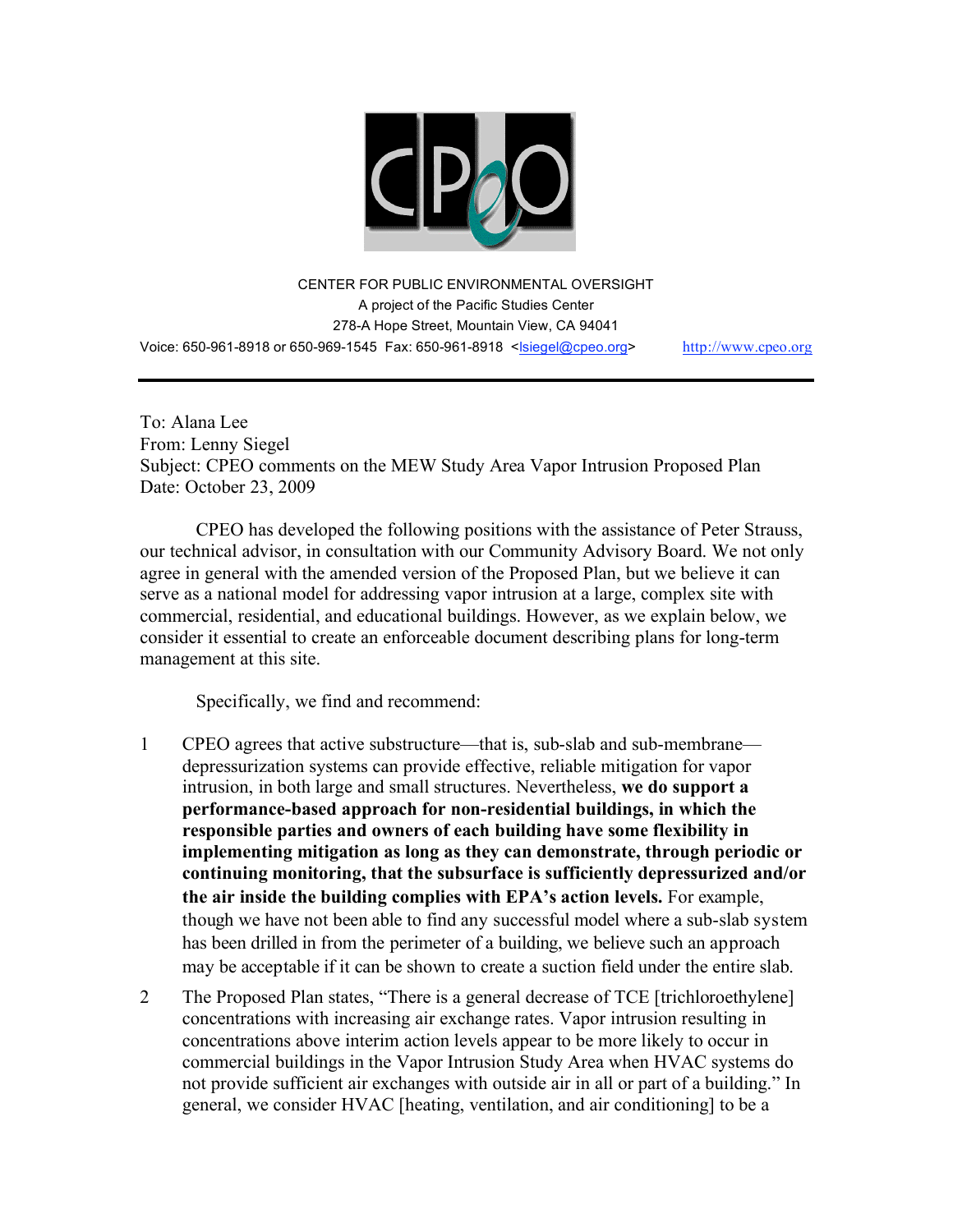

CENTER FOR PUBLIC ENVIRONMENTAL OVERSIGHT A project of the Pacific Studies Center 278-A Hope Street, Mountain View, CA 94041 Voice: 650-961-8918 or 650-969-1545 Fax: 650-961-8918 <<u>Isiegel@cpeo.org</u>> http://www.cpeo.org

To: Alana Lee From: Lenny Siegel Subject: CPEO comments on the MEW Study Area Vapor Intrusion Proposed Plan Date: October 23, 2009

CPEO has developed the following positions with the assistance of Peter Strauss, our technical advisor, in consultation with our Community Advisory Board. We not only agree in general with the amended version of the Proposed Plan, but we believe it can serve as a national model for addressing vapor intrusion at a large, complex site with commercial, residential, and educational buildings. However, as we explain below, we consider it essential to create an enforceable document describing plans for long-term management at this site.

Specifically, we find and recommend:

- 1 CPEO agrees that active substructure—that is, sub-slab and sub-membrane depressurization systems can provide effective, reliable mitigation for vapor intrusion, in both large and small structures. Nevertheless, **we do support a performance-based approach for non-residential buildings, in which the responsible parties and owners of each building have some flexibility in implementing mitigation as long as they can demonstrate, through periodic or continuing monitoring, that the subsurface is sufficiently depressurized and/or the air inside the building complies with EPA's action levels.** For example, though we have not been able to find any successful model where a sub-slab system has been drilled in from the perimeter of a building, we believe such an approach may be acceptable if it can be shown to create a suction field under the entire slab.
- 2 The Proposed Plan states, "There is a general decrease of TCE [trichloroethylene] concentrations with increasing air exchange rates. Vapor intrusion resulting in concentrations above interim action levels appear to be more likely to occur in commercial buildings in the Vapor Intrusion Study Area when HVAC systems do not provide sufficient air exchanges with outside air in all or part of a building." In general, we consider HVAC [heating, ventilation, and air conditioning] to be a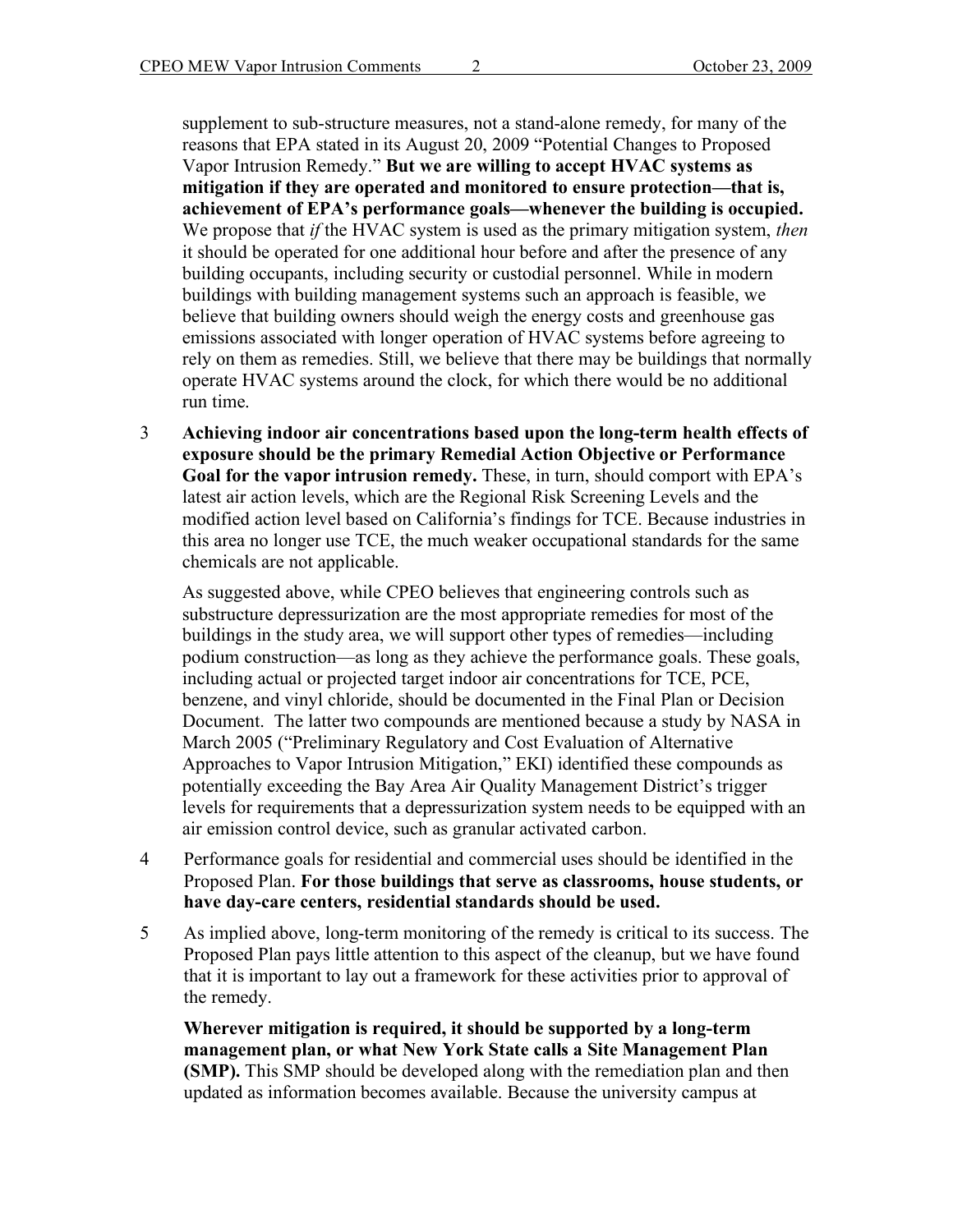supplement to sub-structure measures, not a stand-alone remedy, for many of the reasons that EPA stated in its August 20, 2009 "Potential Changes to Proposed Vapor Intrusion Remedy." **But we are willing to accept HVAC systems as mitigation if they are operated and monitored to ensure protection—that is, achievement of EPA's performance goals—whenever the building is occupied.** We propose that *if* the HVAC system is used as the primary mitigation system, *then* it should be operated for one additional hour before and after the presence of any building occupants, including security or custodial personnel. While in modern buildings with building management systems such an approach is feasible, we believe that building owners should weigh the energy costs and greenhouse gas emissions associated with longer operation of HVAC systems before agreeing to rely on them as remedies. Still, we believe that there may be buildings that normally operate HVAC systems around the clock, for which there would be no additional run time.

3 **Achieving indoor air concentrations based upon the long-term health effects of exposure should be the primary Remedial Action Objective or Performance Goal for the vapor intrusion remedy.** These, in turn, should comport with EPA's latest air action levels, which are the Regional Risk Screening Levels and the modified action level based on California's findings for TCE. Because industries in this area no longer use TCE, the much weaker occupational standards for the same chemicals are not applicable.

As suggested above, while CPEO believes that engineering controls such as substructure depressurization are the most appropriate remedies for most of the buildings in the study area, we will support other types of remedies—including podium construction—as long as they achieve the performance goals. These goals, including actual or projected target indoor air concentrations for TCE, PCE, benzene, and vinyl chloride, should be documented in the Final Plan or Decision Document. The latter two compounds are mentioned because a study by NASA in March 2005 ("Preliminary Regulatory and Cost Evaluation of Alternative Approaches to Vapor Intrusion Mitigation," EKI) identified these compounds as potentially exceeding the Bay Area Air Quality Management District's trigger levels for requirements that a depressurization system needs to be equipped with an air emission control device, such as granular activated carbon.

- 4 Performance goals for residential and commercial uses should be identified in the Proposed Plan. **For those buildings that serve as classrooms, house students, or have day-care centers, residential standards should be used.**
- 5 As implied above, long-term monitoring of the remedy is critical to its success. The Proposed Plan pays little attention to this aspect of the cleanup, but we have found that it is important to lay out a framework for these activities prior to approval of the remedy.

**Wherever mitigation is required, it should be supported by a long-term management plan, or what New York State calls a Site Management Plan (SMP).** This SMP should be developed along with the remediation plan and then updated as information becomes available. Because the university campus at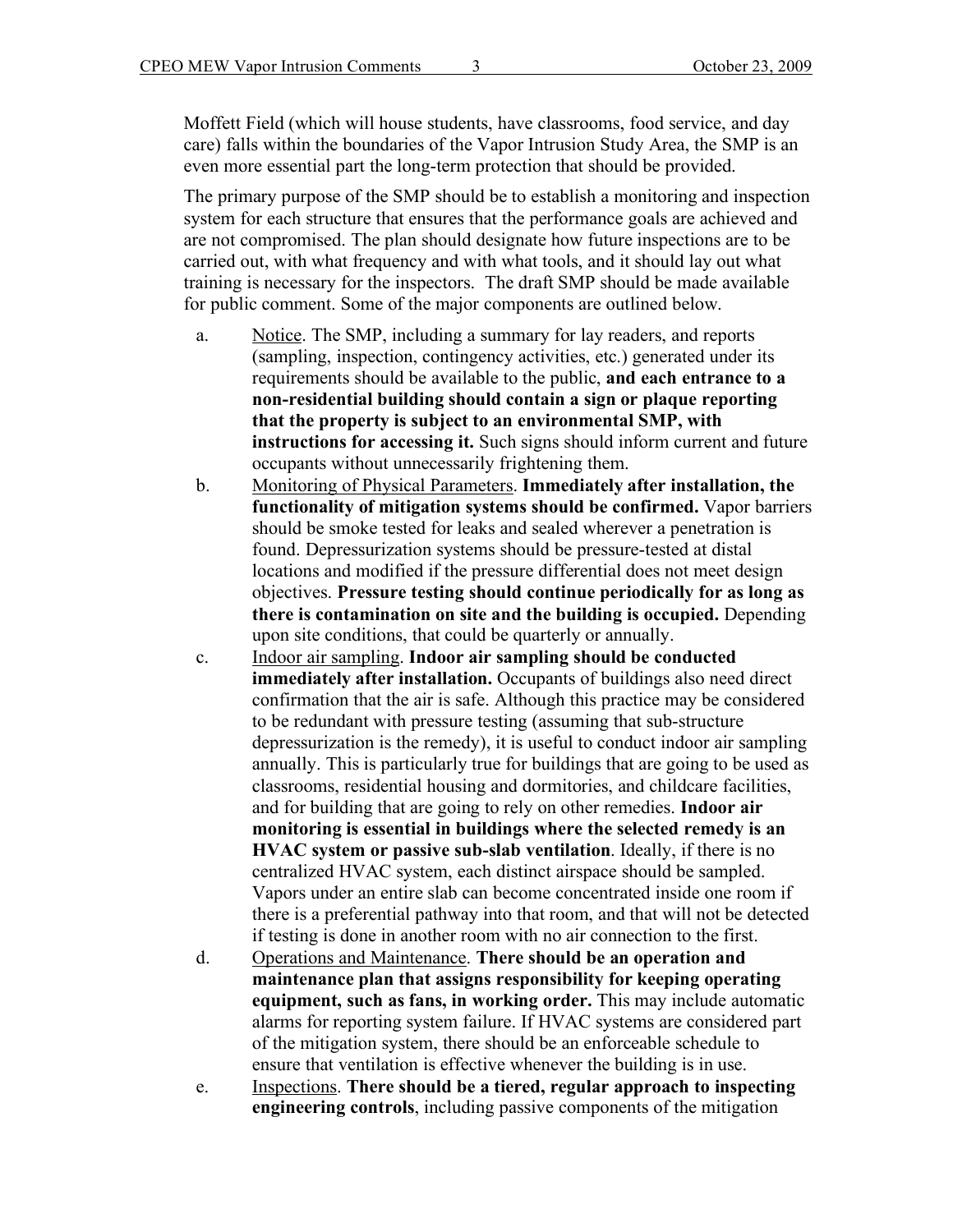Moffett Field (which will house students, have classrooms, food service, and day care) falls within the boundaries of the Vapor Intrusion Study Area, the SMP is an even more essential part the long-term protection that should be provided.

The primary purpose of the SMP should be to establish a monitoring and inspection system for each structure that ensures that the performance goals are achieved and are not compromised. The plan should designate how future inspections are to be carried out, with what frequency and with what tools, and it should lay out what training is necessary for the inspectors. The draft SMP should be made available for public comment. Some of the major components are outlined below.

- a. Notice. The SMP, including a summary for lay readers, and reports (sampling, inspection, contingency activities, etc.) generated under its requirements should be available to the public, **and each entrance to a non-residential building should contain a sign or plaque reporting that the property is subject to an environmental SMP, with instructions for accessing it.** Such signs should inform current and future occupants without unnecessarily frightening them.
- b. Monitoring of Physical Parameters. **Immediately after installation, the functionality of mitigation systems should be confirmed.** Vapor barriers should be smoke tested for leaks and sealed wherever a penetration is found. Depressurization systems should be pressure-tested at distal locations and modified if the pressure differential does not meet design objectives. **Pressure testing should continue periodically for as long as there is contamination on site and the building is occupied.** Depending upon site conditions, that could be quarterly or annually.
- c. Indoor air sampling. **Indoor air sampling should be conducted immediately after installation.** Occupants of buildings also need direct confirmation that the air is safe. Although this practice may be considered to be redundant with pressure testing (assuming that sub-structure depressurization is the remedy), it is useful to conduct indoor air sampling annually. This is particularly true for buildings that are going to be used as classrooms, residential housing and dormitories, and childcare facilities, and for building that are going to rely on other remedies. **Indoor air monitoring is essential in buildings where the selected remedy is an HVAC system or passive sub-slab ventilation**. Ideally, if there is no centralized HVAC system, each distinct airspace should be sampled. Vapors under an entire slab can become concentrated inside one room if there is a preferential pathway into that room, and that will not be detected if testing is done in another room with no air connection to the first.
- d. Operations and Maintenance. **There should be an operation and maintenance plan that assigns responsibility for keeping operating equipment, such as fans, in working order.** This may include automatic alarms for reporting system failure. If HVAC systems are considered part of the mitigation system, there should be an enforceable schedule to ensure that ventilation is effective whenever the building is in use.
- e. Inspections. **There should be a tiered, regular approach to inspecting engineering controls**, including passive components of the mitigation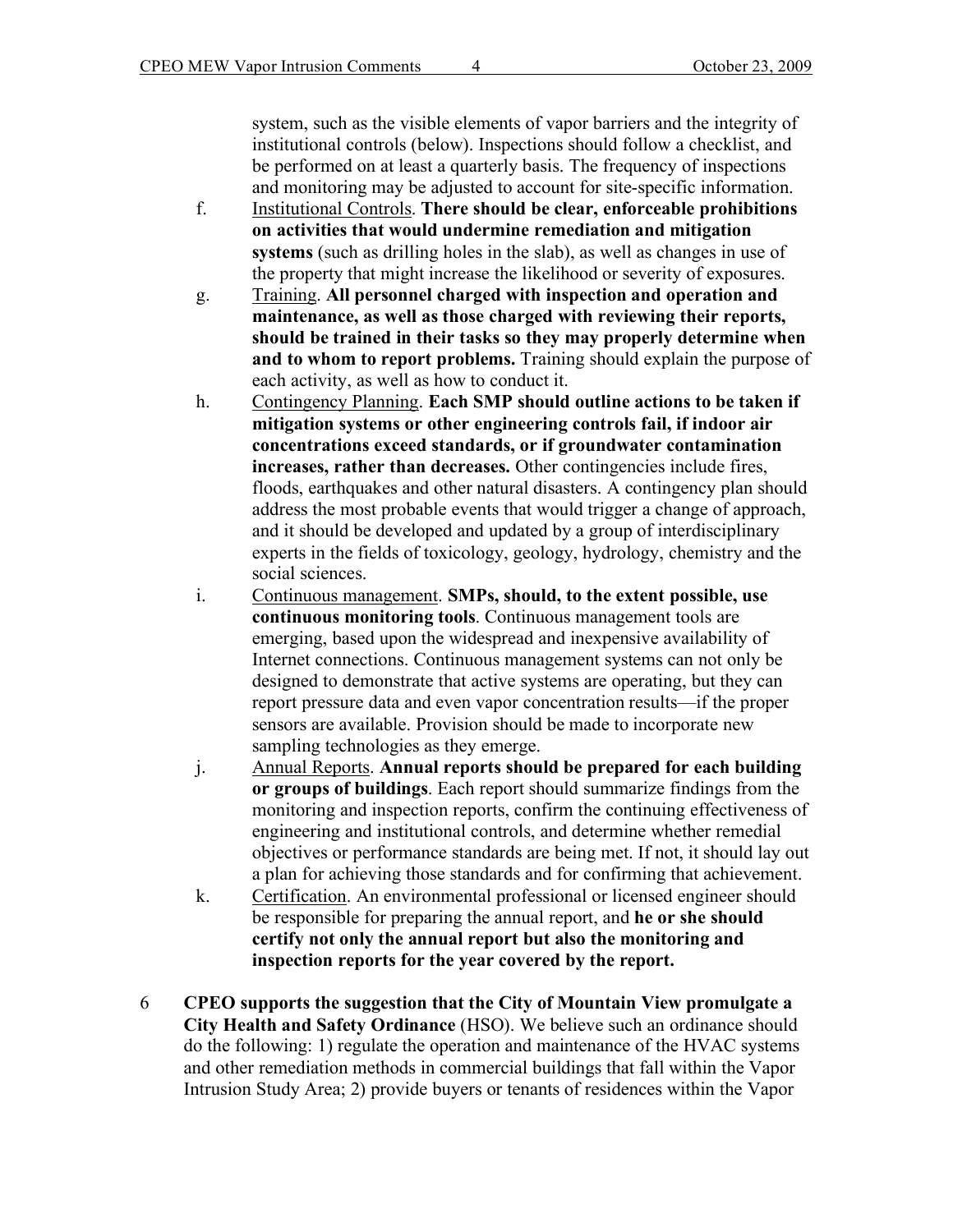system, such as the visible elements of vapor barriers and the integrity of institutional controls (below). Inspections should follow a checklist, and be performed on at least a quarterly basis. The frequency of inspections and monitoring may be adjusted to account for site-specific information.

- f. Institutional Controls. **There should be clear, enforceable prohibitions on activities that would undermine remediation and mitigation systems** (such as drilling holes in the slab), as well as changes in use of the property that might increase the likelihood or severity of exposures.
- g. Training. **All personnel charged with inspection and operation and maintenance, as well as those charged with reviewing their reports, should be trained in their tasks so they may properly determine when and to whom to report problems.** Training should explain the purpose of each activity, as well as how to conduct it.
- h. Contingency Planning. **Each SMP should outline actions to be taken if mitigation systems or other engineering controls fail, if indoor air concentrations exceed standards, or if groundwater contamination increases, rather than decreases.** Other contingencies include fires, floods, earthquakes and other natural disasters. A contingency plan should address the most probable events that would trigger a change of approach, and it should be developed and updated by a group of interdisciplinary experts in the fields of toxicology, geology, hydrology, chemistry and the social sciences.
- i. Continuous management. **SMPs, should, to the extent possible, use continuous monitoring tools**. Continuous management tools are emerging, based upon the widespread and inexpensive availability of Internet connections. Continuous management systems can not only be designed to demonstrate that active systems are operating, but they can report pressure data and even vapor concentration results—if the proper sensors are available. Provision should be made to incorporate new sampling technologies as they emerge.
- j. Annual Reports. **Annual reports should be prepared for each building or groups of buildings**. Each report should summarize findings from the monitoring and inspection reports, confirm the continuing effectiveness of engineering and institutional controls, and determine whether remedial objectives or performance standards are being met. If not, it should lay out a plan for achieving those standards and for confirming that achievement.
- k. Certification. An environmental professional or licensed engineer should be responsible for preparing the annual report, and **he or she should certify not only the annual report but also the monitoring and inspection reports for the year covered by the report.**
- 6 **CPEO supports the suggestion that the City of Mountain View promulgate a City Health and Safety Ordinance** (HSO). We believe such an ordinance should do the following: 1) regulate the operation and maintenance of the HVAC systems and other remediation methods in commercial buildings that fall within the Vapor Intrusion Study Area; 2) provide buyers or tenants of residences within the Vapor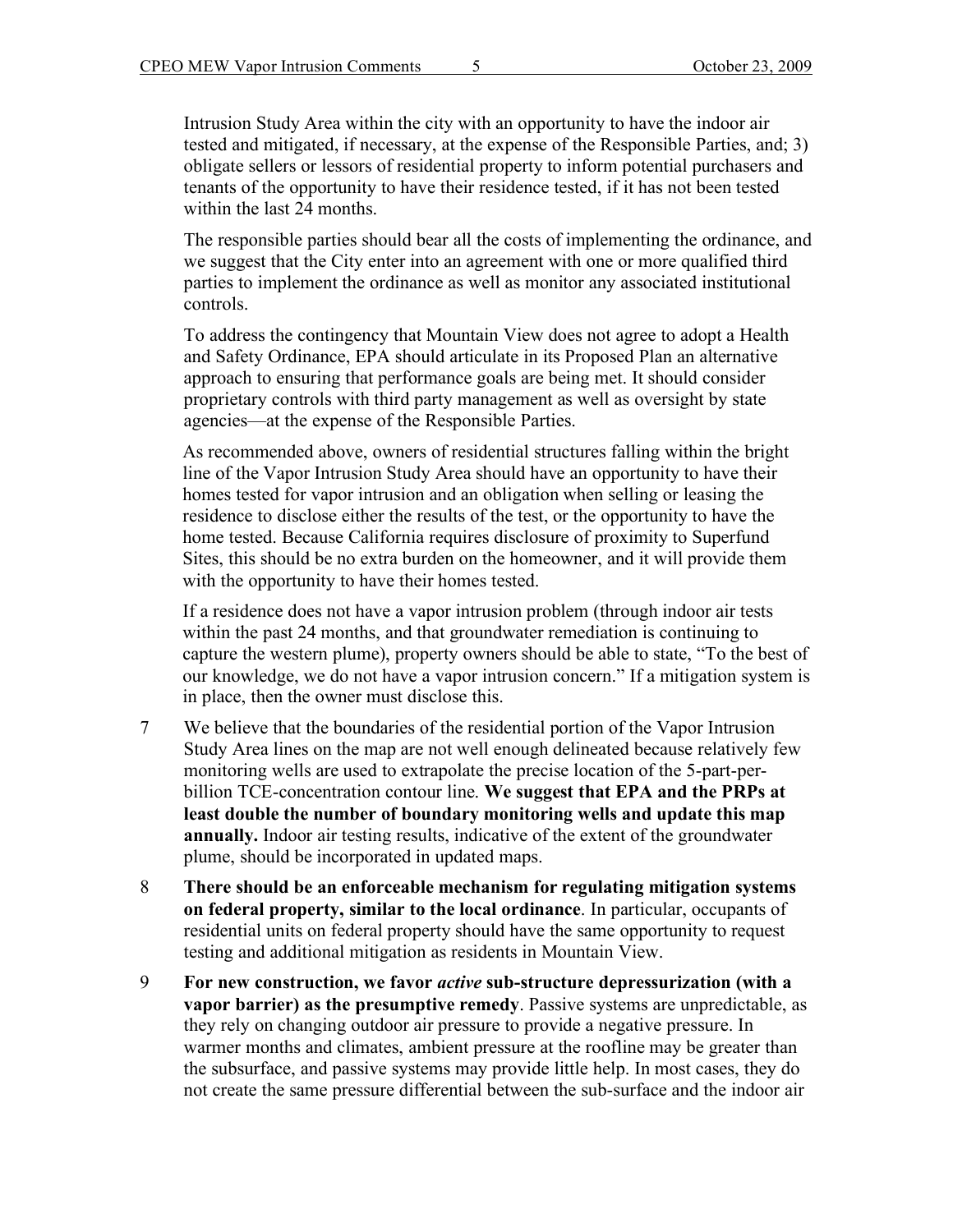Intrusion Study Area within the city with an opportunity to have the indoor air tested and mitigated, if necessary, at the expense of the Responsible Parties, and; 3) obligate sellers or lessors of residential property to inform potential purchasers and tenants of the opportunity to have their residence tested, if it has not been tested within the last 24 months.

The responsible parties should bear all the costs of implementing the ordinance, and we suggest that the City enter into an agreement with one or more qualified third parties to implement the ordinance as well as monitor any associated institutional controls.

To address the contingency that Mountain View does not agree to adopt a Health and Safety Ordinance, EPA should articulate in its Proposed Plan an alternative approach to ensuring that performance goals are being met. It should consider proprietary controls with third party management as well as oversight by state agencies—at the expense of the Responsible Parties.

As recommended above, owners of residential structures falling within the bright line of the Vapor Intrusion Study Area should have an opportunity to have their homes tested for vapor intrusion and an obligation when selling or leasing the residence to disclose either the results of the test, or the opportunity to have the home tested. Because California requires disclosure of proximity to Superfund Sites, this should be no extra burden on the homeowner, and it will provide them with the opportunity to have their homes tested.

If a residence does not have a vapor intrusion problem (through indoor air tests within the past 24 months, and that groundwater remediation is continuing to capture the western plume), property owners should be able to state, "To the best of our knowledge, we do not have a vapor intrusion concern." If a mitigation system is in place, then the owner must disclose this.

- 7 We believe that the boundaries of the residential portion of the Vapor Intrusion Study Area lines on the map are not well enough delineated because relatively few monitoring wells are used to extrapolate the precise location of the 5-part-perbillion TCE-concentration contour line. **We suggest that EPA and the PRPs at least double the number of boundary monitoring wells and update this map annually.** Indoor air testing results, indicative of the extent of the groundwater plume, should be incorporated in updated maps.
- 8 **There should be an enforceable mechanism for regulating mitigation systems on federal property, similar to the local ordinance**. In particular, occupants of residential units on federal property should have the same opportunity to request testing and additional mitigation as residents in Mountain View.
- 9 **For new construction, we favor** *active* **sub-structure depressurization (with a vapor barrier) as the presumptive remedy**. Passive systems are unpredictable, as they rely on changing outdoor air pressure to provide a negative pressure. In warmer months and climates, ambient pressure at the roofline may be greater than the subsurface, and passive systems may provide little help. In most cases, they do not create the same pressure differential between the sub-surface and the indoor air